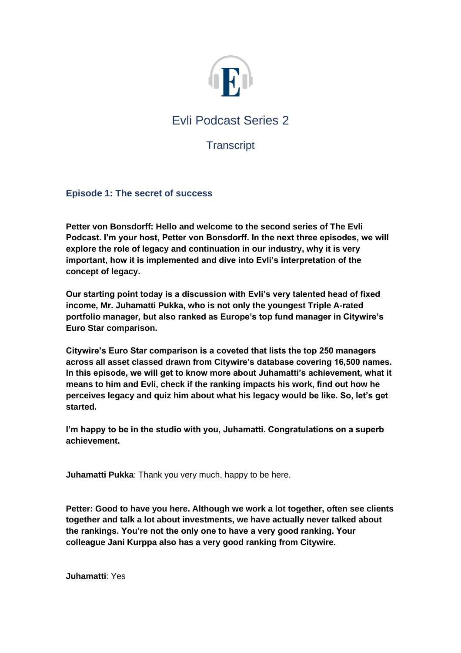

# Evli Podcast Series 2

# **Transcript**

# **Episode 1: The secret of success**

**Petter von Bonsdorff: Hello and welcome to the second series of The Evli Podcast. I'm your host, Petter von Bonsdorff. In the next three episodes, we will explore the role of legacy and continuation in our industry, why it is very important, how it is implemented and dive into Evli's interpretation of the concept of legacy.** 

**Our starting point today is a discussion with Evli's very talented head of fixed income, Mr. Juhamatti Pukka, who is not only the youngest Triple A-rated portfolio manager, but also ranked as Europe's top fund manager in Citywire's Euro Star comparison.** 

**Citywire's Euro Star comparison is a coveted that lists the top 250 managers across all asset classed drawn from Citywire's database covering 16,500 names. In this episode, we will get to know more about Juhamatti's achievement, what it means to him and Evli, check if the ranking impacts his work, find out how he perceives legacy and quiz him about what his legacy would be like. So, let's get started.** 

**I'm happy to be in the studio with you, Juhamatti. Congratulations on a superb achievement.**

**Juhamatti Pukka:** Thank you very much, happy to be here.

**Petter: Good to have you here. Although we work a lot together, often see clients together and talk a lot about investments, we have actually never talked about the rankings. You're not the only one to have a very good ranking. Your colleague Jani Kurppa also has a very good ranking from Citywire.**

**Juhamatti**: Yes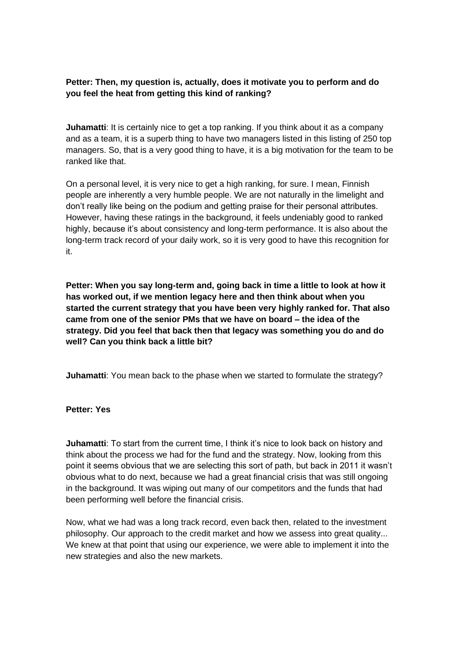# **Petter: Then, my question is, actually, does it motivate you to perform and do you feel the heat from getting this kind of ranking?**

**Juhamatti:** It is certainly nice to get a top ranking. If you think about it as a company and as a team, it is a superb thing to have two managers listed in this listing of 250 top managers. So, that is a very good thing to have, it is a big motivation for the team to be ranked like that.

On a personal level, it is very nice to get a high ranking, for sure. I mean, Finnish people are inherently a very humble people. We are not naturally in the limelight and don't really like being on the podium and getting praise for their personal attributes. However, having these ratings in the background, it feels undeniably good to ranked highly, because it's about consistency and long-term performance. It is also about the long-term track record of your daily work, so it is very good to have this recognition for it.

**Petter: When you say long-term and, going back in time a little to look at how it has worked out, if we mention legacy here and then think about when you started the current strategy that you have been very highly ranked for. That also came from one of the senior PMs that we have on board – the idea of the strategy. Did you feel that back then that legacy was something you do and do well? Can you think back a little bit?**

**Juhamatti**: You mean back to the phase when we started to formulate the strategy?

#### **Petter: Yes**

**Juhamatti**: To start from the current time, I think it's nice to look back on history and think about the process we had for the fund and the strategy. Now, looking from this point it seems obvious that we are selecting this sort of path, but back in 2011 it wasn't obvious what to do next, because we had a great financial crisis that was still ongoing in the background. It was wiping out many of our competitors and the funds that had been performing well before the financial crisis.

Now, what we had was a long track record, even back then, related to the investment philosophy. Our approach to the credit market and how we assess into great quality... We knew at that point that using our experience, we were able to implement it into the new strategies and also the new markets.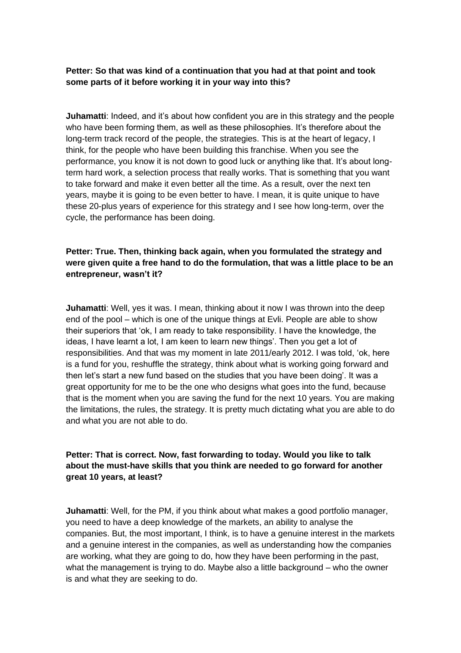# **Petter: So that was kind of a continuation that you had at that point and took some parts of it before working it in your way into this?**

**Juhamatti**: Indeed, and it's about how confident you are in this strategy and the people who have been forming them, as well as these philosophies. It's therefore about the long-term track record of the people, the strategies. This is at the heart of legacy, I think, for the people who have been building this franchise. When you see the performance, you know it is not down to good luck or anything like that. It's about longterm hard work, a selection process that really works. That is something that you want to take forward and make it even better all the time. As a result, over the next ten years, maybe it is going to be even better to have. I mean, it is quite unique to have these 20-plus years of experience for this strategy and I see how long-term, over the cycle, the performance has been doing.

# **Petter: True. Then, thinking back again, when you formulated the strategy and were given quite a free hand to do the formulation, that was a little place to be an entrepreneur, wasn't it?**

**Juhamatti**: Well, yes it was. I mean, thinking about it now I was thrown into the deep end of the pool – which is one of the unique things at Evli. People are able to show their superiors that 'ok, I am ready to take responsibility. I have the knowledge, the ideas, I have learnt a lot, I am keen to learn new things'. Then you get a lot of responsibilities. And that was my moment in late 2011/early 2012. I was told, 'ok, here is a fund for you, reshuffle the strategy, think about what is working going forward and then let's start a new fund based on the studies that you have been doing'. It was a great opportunity for me to be the one who designs what goes into the fund, because that is the moment when you are saving the fund for the next 10 years. You are making the limitations, the rules, the strategy. It is pretty much dictating what you are able to do and what you are not able to do.

# **Petter: That is correct. Now, fast forwarding to today. Would you like to talk about the must-have skills that you think are needed to go forward for another great 10 years, at least?**

**Juhamatti**: Well, for the PM, if you think about what makes a good portfolio manager, you need to have a deep knowledge of the markets, an ability to analyse the companies. But, the most important, I think, is to have a genuine interest in the markets and a genuine interest in the companies, as well as understanding how the companies are working, what they are going to do, how they have been performing in the past, what the management is trying to do. Maybe also a little background – who the owner is and what they are seeking to do.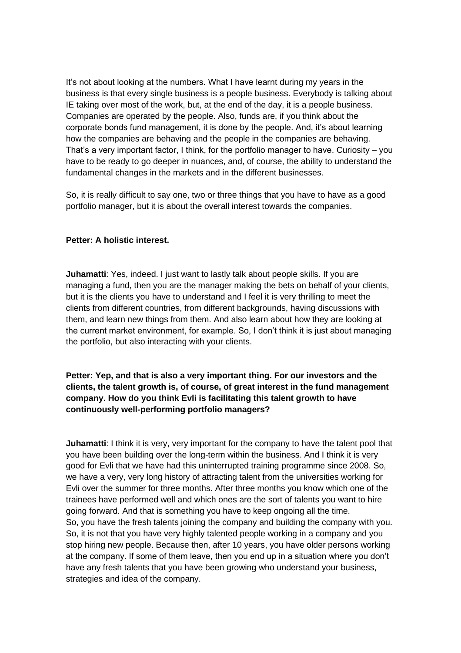It's not about looking at the numbers. What I have learnt during my years in the business is that every single business is a people business. Everybody is talking about IE taking over most of the work, but, at the end of the day, it is a people business. Companies are operated by the people. Also, funds are, if you think about the corporate bonds fund management, it is done by the people. And, it's about learning how the companies are behaving and the people in the companies are behaving. That's a very important factor, I think, for the portfolio manager to have. Curiosity – you have to be ready to go deeper in nuances, and, of course, the ability to understand the fundamental changes in the markets and in the different businesses.

So, it is really difficult to say one, two or three things that you have to have as a good portfolio manager, but it is about the overall interest towards the companies.

#### **Petter: A holistic interest.**

**Juhamatti**: Yes, indeed. I just want to lastly talk about people skills. If you are managing a fund, then you are the manager making the bets on behalf of your clients, but it is the clients you have to understand and I feel it is very thrilling to meet the clients from different countries, from different backgrounds, having discussions with them, and learn new things from them. And also learn about how they are looking at the current market environment, for example. So, I don't think it is just about managing the portfolio, but also interacting with your clients.

**Petter: Yep, and that is also a very important thing. For our investors and the clients, the talent growth is, of course, of great interest in the fund management company. How do you think Evli is facilitating this talent growth to have continuously well-performing portfolio managers?** 

**Juhamatti:** I think it is very, very important for the company to have the talent pool that you have been building over the long-term within the business. And I think it is very good for Evli that we have had this uninterrupted training programme since 2008. So, we have a very, very long history of attracting talent from the universities working for Evli over the summer for three months. After three months you know which one of the trainees have performed well and which ones are the sort of talents you want to hire going forward. And that is something you have to keep ongoing all the time. So, you have the fresh talents joining the company and building the company with you. So, it is not that you have very highly talented people working in a company and you stop hiring new people. Because then, after 10 years, you have older persons working at the company. If some of them leave, then you end up in a situation where you don't have any fresh talents that you have been growing who understand your business, strategies and idea of the company.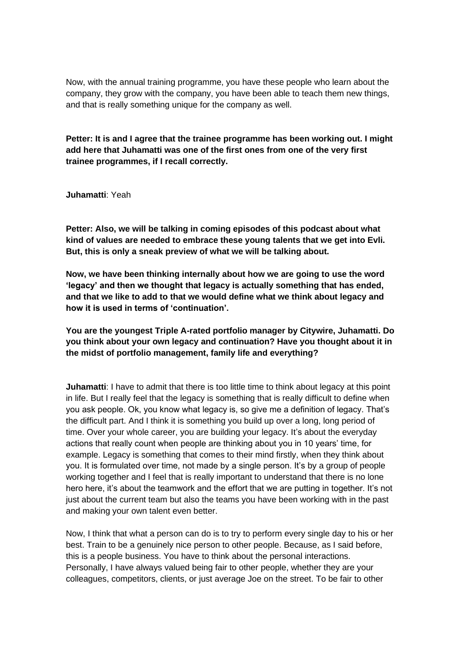Now, with the annual training programme, you have these people who learn about the company, they grow with the company, you have been able to teach them new things, and that is really something unique for the company as well.

**Petter: It is and I agree that the trainee programme has been working out. I might add here that Juhamatti was one of the first ones from one of the very first trainee programmes, if I recall correctly.** 

**Juhamatti**: Yeah

**Petter: Also, we will be talking in coming episodes of this podcast about what kind of values are needed to embrace these young talents that we get into Evli. But, this is only a sneak preview of what we will be talking about.** 

**Now, we have been thinking internally about how we are going to use the word 'legacy' and then we thought that legacy is actually something that has ended, and that we like to add to that we would define what we think about legacy and how it is used in terms of 'continuation'.** 

**You are the youngest Triple A-rated portfolio manager by Citywire, Juhamatti. Do you think about your own legacy and continuation? Have you thought about it in the midst of portfolio management, family life and everything?**

**Juhamatti:** I have to admit that there is too little time to think about legacy at this point in life. But I really feel that the legacy is something that is really difficult to define when you ask people. Ok, you know what legacy is, so give me a definition of legacy. That's the difficult part. And I think it is something you build up over a long, long period of time. Over your whole career, you are building your legacy. It's about the everyday actions that really count when people are thinking about you in 10 years' time, for example. Legacy is something that comes to their mind firstly, when they think about you. It is formulated over time, not made by a single person. It's by a group of people working together and I feel that is really important to understand that there is no lone hero here, it's about the teamwork and the effort that we are putting in together. It's not just about the current team but also the teams you have been working with in the past and making your own talent even better.

Now, I think that what a person can do is to try to perform every single day to his or her best. Train to be a genuinely nice person to other people. Because, as I said before, this is a people business. You have to think about the personal interactions. Personally, I have always valued being fair to other people, whether they are your colleagues, competitors, clients, or just average Joe on the street. To be fair to other